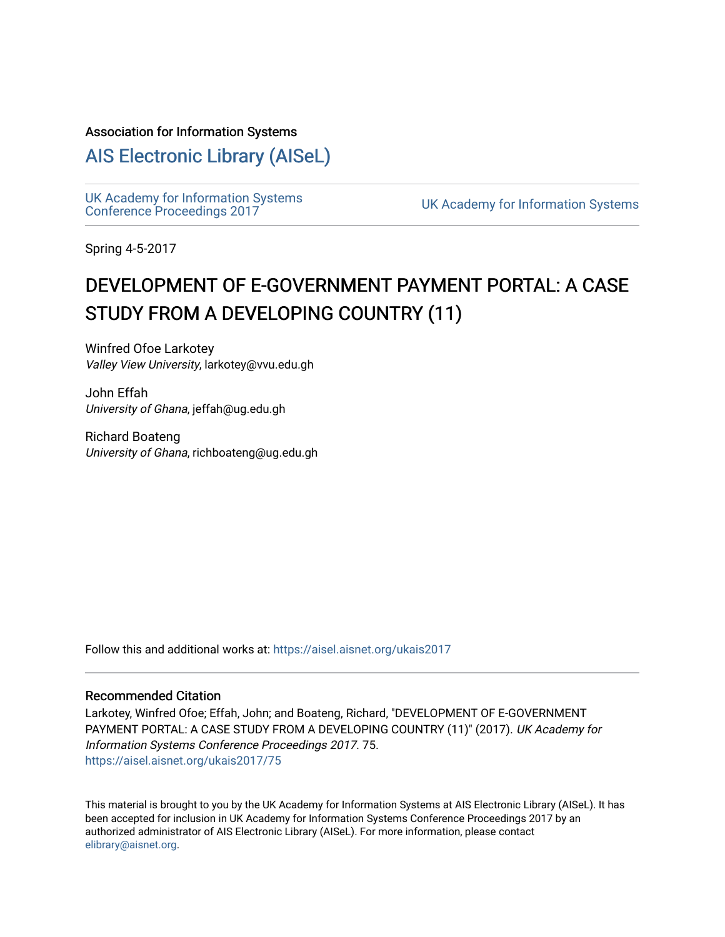#### Association for Information Systems

# [AIS Electronic Library \(AISeL\)](https://aisel.aisnet.org/)

UK Academy for Information Systems<br>Conference Proceedings 2017

UK Academy for Information Systems

Spring 4-5-2017

# DEVELOPMENT OF E-GOVERNMENT PAYMENT PORTAL: A CASE STUDY FROM A DEVELOPING COUNTRY (11)

Winfred Ofoe Larkotey Valley View University, larkotey@vvu.edu.gh

John Effah University of Ghana, jeffah@ug.edu.gh

Richard Boateng University of Ghana, richboateng@ug.edu.gh

Follow this and additional works at: [https://aisel.aisnet.org/ukais2017](https://aisel.aisnet.org/ukais2017?utm_source=aisel.aisnet.org%2Fukais2017%2F75&utm_medium=PDF&utm_campaign=PDFCoverPages)

#### Recommended Citation

Larkotey, Winfred Ofoe; Effah, John; and Boateng, Richard, "DEVELOPMENT OF E-GOVERNMENT PAYMENT PORTAL: A CASE STUDY FROM A DEVELOPING COUNTRY (11)" (2017). UK Academy for Information Systems Conference Proceedings 2017. 75. [https://aisel.aisnet.org/ukais2017/75](https://aisel.aisnet.org/ukais2017/75?utm_source=aisel.aisnet.org%2Fukais2017%2F75&utm_medium=PDF&utm_campaign=PDFCoverPages) 

This material is brought to you by the UK Academy for Information Systems at AIS Electronic Library (AISeL). It has been accepted for inclusion in UK Academy for Information Systems Conference Proceedings 2017 by an authorized administrator of AIS Electronic Library (AISeL). For more information, please contact [elibrary@aisnet.org](mailto:elibrary@aisnet.org%3E).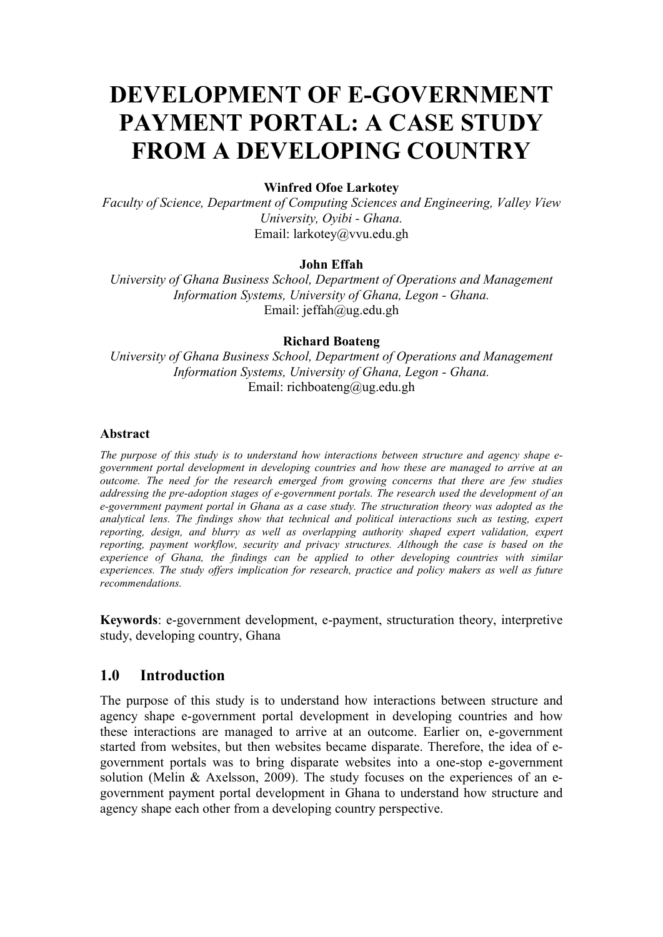# DEVELOPMENT OF E-GOVERNMENT PAYMENT PORTAL: A CASE STUDY FROM A DEVELOPING COUNTRY

#### Winfred Ofoe Larkotey

*Faculty of Science, Department of Computing Sciences and Engineering, Valley View University, Oyibi - Ghana.* Email: larkotey@vvu.edu.gh

#### John Effah

*University of Ghana Business School, Department of Operations and Management Information Systems, University of Ghana, Legon - Ghana.*  Email: jeffah@ug.edu.gh

#### Richard Boateng

*University of Ghana Business School, Department of Operations and Management Information Systems, University of Ghana, Legon - Ghana.*  Email: richboateng@ug.edu.gh

#### Abstract

*The purpose of this study is to understand how interactions between structure and agency shape egovernment portal development in developing countries and how these are managed to arrive at an outcome. The need for the research emerged from growing concerns that there are few studies addressing the pre-adoption stages of e-government portals. The research used the development of an e-government payment portal in Ghana as a case study. The structuration theory was adopted as the analytical lens. The findings show that technical and political interactions such as testing, expert reporting, design, and blurry as well as overlapping authority shaped expert validation, expert reporting, payment workflow, security and privacy structures. Although the case is based on the experience of Ghana, the findings can be applied to other developing countries with similar experiences. The study offers implication for research, practice and policy makers as well as future recommendations.*

Keywords: e-government development, e-payment, structuration theory, interpretive study, developing country, Ghana

### 1.0 Introduction

The purpose of this study is to understand how interactions between structure and agency shape e-government portal development in developing countries and how these interactions are managed to arrive at an outcome. Earlier on, e-government started from websites, but then websites became disparate. Therefore, the idea of egovernment portals was to bring disparate websites into a one-stop e-government solution (Melin & Axelsson, 2009). The study focuses on the experiences of an egovernment payment portal development in Ghana to understand how structure and agency shape each other from a developing country perspective.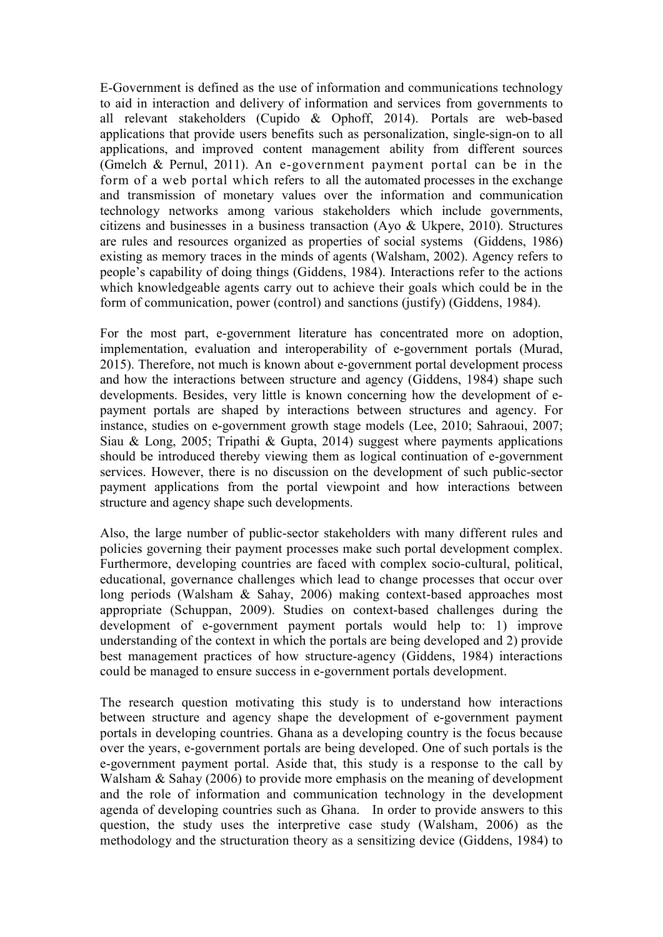E-Government is defined as the use of information and communications technology to aid in interaction and delivery of information and services from governments to all relevant stakeholders (Cupido & Ophoff, 2014). Portals are web-based applications that provide users benefits such as personalization, single-sign-on to all applications, and improved content management ability from different sources (Gmelch & Pernul, 2011). An e-government payment portal can be in the form of a web portal which refers to all the automated processes in the exchange and transmission of monetary values over the information and communication technology networks among various stakeholders which include governments, citizens and businesses in a business transaction (Ayo & Ukpere, 2010). Structures are rules and resources organized as properties of social systems (Giddens, 1986) existing as memory traces in the minds of agents (Walsham, 2002). Agency refers to people's capability of doing things (Giddens, 1984). Interactions refer to the actions which knowledgeable agents carry out to achieve their goals which could be in the form of communication, power (control) and sanctions (justify) (Giddens, 1984).

For the most part, e-government literature has concentrated more on adoption, implementation, evaluation and interoperability of e-government portals (Murad, 2015). Therefore, not much is known about e-government portal development process and how the interactions between structure and agency (Giddens, 1984) shape such developments. Besides, very little is known concerning how the development of epayment portals are shaped by interactions between structures and agency. For instance, studies on e-government growth stage models (Lee, 2010; Sahraoui, 2007; Siau & Long, 2005; Tripathi & Gupta, 2014) suggest where payments applications should be introduced thereby viewing them as logical continuation of e-government services. However, there is no discussion on the development of such public-sector payment applications from the portal viewpoint and how interactions between structure and agency shape such developments.

Also, the large number of public-sector stakeholders with many different rules and policies governing their payment processes make such portal development complex. Furthermore, developing countries are faced with complex socio-cultural, political, educational, governance challenges which lead to change processes that occur over long periods (Walsham & Sahay, 2006) making context-based approaches most appropriate (Schuppan, 2009). Studies on context-based challenges during the development of e-government payment portals would help to: 1) improve understanding of the context in which the portals are being developed and 2) provide best management practices of how structure-agency (Giddens, 1984) interactions could be managed to ensure success in e-government portals development.

The research question motivating this study is to understand how interactions between structure and agency shape the development of e-government payment portals in developing countries. Ghana as a developing country is the focus because over the years, e-government portals are being developed. One of such portals is the e-government payment portal. Aside that, this study is a response to the call by Walsham & Sahay (2006) to provide more emphasis on the meaning of development and the role of information and communication technology in the development agenda of developing countries such as Ghana. In order to provide answers to this question, the study uses the interpretive case study (Walsham, 2006) as the methodology and the structuration theory as a sensitizing device (Giddens, 1984) to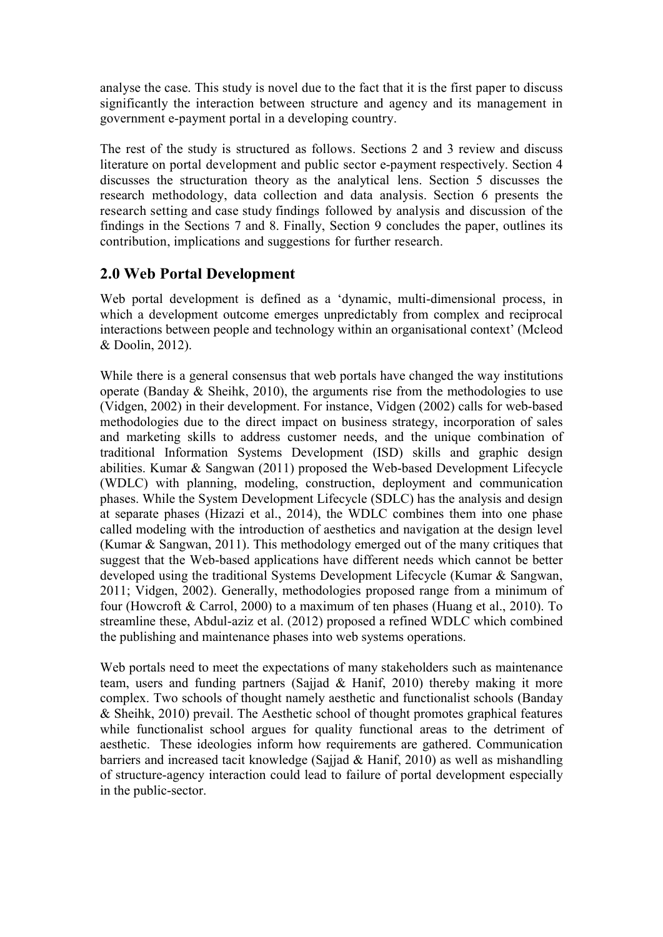analyse the case. This study is novel due to the fact that it is the first paper to discuss significantly the interaction between structure and agency and its management in government e-payment portal in a developing country.

The rest of the study is structured as follows. Sections 2 and 3 review and discuss literature on portal development and public sector e-payment respectively. Section 4 discusses the structuration theory as the analytical lens. Section 5 discusses the research methodology, data collection and data analysis. Section 6 presents the research setting and case study findings followed by analysis and discussion of the findings in the Sections 7 and 8. Finally, Section 9 concludes the paper, outlines its contribution, implications and suggestions for further research.

# 2.0 Web Portal Development

Web portal development is defined as a 'dynamic, multi-dimensional process, in which a development outcome emerges unpredictably from complex and reciprocal interactions between people and technology within an organisational context' (Mcleod & Doolin, 2012).

While there is a general consensus that web portals have changed the way institutions operate (Banday & Sheihk, 2010), the arguments rise from the methodologies to use (Vidgen, 2002) in their development. For instance, Vidgen (2002) calls for web-based methodologies due to the direct impact on business strategy, incorporation of sales and marketing skills to address customer needs, and the unique combination of traditional Information Systems Development (ISD) skills and graphic design abilities. Kumar & Sangwan (2011) proposed the Web-based Development Lifecycle (WDLC) with planning, modeling, construction, deployment and communication phases. While the System Development Lifecycle (SDLC) has the analysis and design at separate phases (Hizazi et al., 2014), the WDLC combines them into one phase called modeling with the introduction of aesthetics and navigation at the design level (Kumar & Sangwan, 2011). This methodology emerged out of the many critiques that suggest that the Web-based applications have different needs which cannot be better developed using the traditional Systems Development Lifecycle (Kumar & Sangwan, 2011; Vidgen, 2002). Generally, methodologies proposed range from a minimum of four (Howcroft & Carrol, 2000) to a maximum of ten phases (Huang et al., 2010). To streamline these, Abdul-aziz et al. (2012) proposed a refined WDLC which combined the publishing and maintenance phases into web systems operations.

Web portals need to meet the expectations of many stakeholders such as maintenance team, users and funding partners (Sajjad & Hanif, 2010) thereby making it more complex. Two schools of thought namely aesthetic and functionalist schools (Banday & Sheihk, 2010) prevail. The Aesthetic school of thought promotes graphical features while functionalist school argues for quality functional areas to the detriment of aesthetic. These ideologies inform how requirements are gathered. Communication barriers and increased tacit knowledge (Sajjad & Hanif, 2010) as well as mishandling of structure-agency interaction could lead to failure of portal development especially in the public-sector.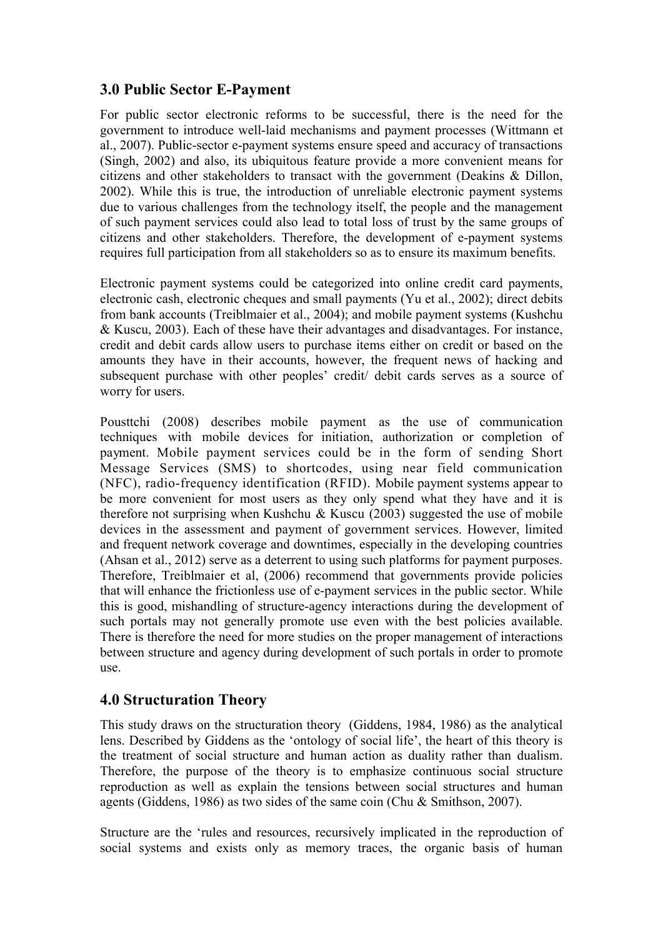# 3.0 Public Sector E-Payment

For public sector electronic reforms to be successful, there is the need for the government to introduce well-laid mechanisms and payment processes (Wittmann et al., 2007). Public-sector e-payment systems ensure speed and accuracy of transactions (Singh, 2002) and also, its ubiquitous feature provide a more convenient means for citizens and other stakeholders to transact with the government (Deakins & Dillon, 2002). While this is true, the introduction of unreliable electronic payment systems due to various challenges from the technology itself, the people and the management of such payment services could also lead to total loss of trust by the same groups of citizens and other stakeholders. Therefore, the development of e-payment systems requires full participation from all stakeholders so as to ensure its maximum benefits.

Electronic payment systems could be categorized into online credit card payments, electronic cash, electronic cheques and small payments (Yu et al., 2002); direct debits from bank accounts (Treiblmaier et al., 2004); and mobile payment systems (Kushchu & Kuscu, 2003). Each of these have their advantages and disadvantages. For instance, credit and debit cards allow users to purchase items either on credit or based on the amounts they have in their accounts, however, the frequent news of hacking and subsequent purchase with other peoples' credit/ debit cards serves as a source of worry for users.

Pousttchi (2008) describes mobile payment as the use of communication techniques with mobile devices for initiation, authorization or completion of payment. Mobile payment services could be in the form of sending Short Message Services (SMS) to shortcodes, using near field communication (NFC), radio-frequency identification (RFID). Mobile payment systems appear to be more convenient for most users as they only spend what they have and it is therefore not surprising when Kushchu & Kuscu (2003) suggested the use of mobile devices in the assessment and payment of government services. However, limited and frequent network coverage and downtimes, especially in the developing countries (Ahsan et al., 2012) serve as a deterrent to using such platforms for payment purposes. Therefore, Treiblmaier et al, (2006) recommend that governments provide policies that will enhance the frictionless use of e-payment services in the public sector. While this is good, mishandling of structure-agency interactions during the development of such portals may not generally promote use even with the best policies available. There is therefore the need for more studies on the proper management of interactions between structure and agency during development of such portals in order to promote use.

# 4.0 Structuration Theory

This study draws on the structuration theory (Giddens, 1984, 1986) as the analytical lens. Described by Giddens as the 'ontology of social life', the heart of this theory is the treatment of social structure and human action as duality rather than dualism. Therefore, the purpose of the theory is to emphasize continuous social structure reproduction as well as explain the tensions between social structures and human agents (Giddens, 1986) as two sides of the same coin (Chu & Smithson, 2007).

Structure are the 'rules and resources, recursively implicated in the reproduction of social systems and exists only as memory traces, the organic basis of human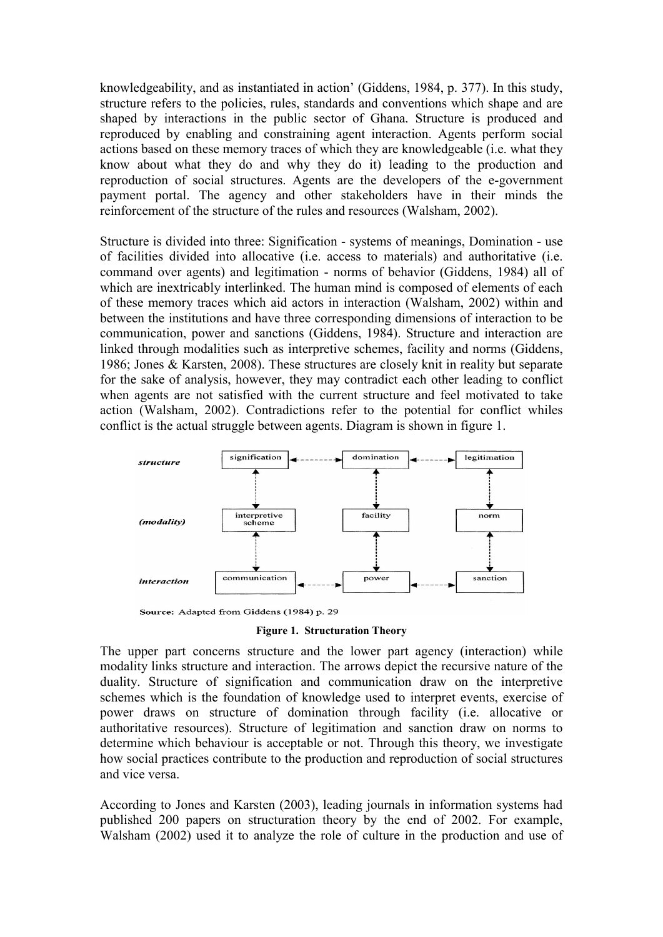knowledgeability, and as instantiated in action' (Giddens, 1984, p. 377). In this study, structure refers to the policies, rules, standards and conventions which shape and are shaped by interactions in the public sector of Ghana. Structure is produced and reproduced by enabling and constraining agent interaction. Agents perform social actions based on these memory traces of which they are knowledgeable (i.e. what they know about what they do and why they do it) leading to the production and reproduction of social structures. Agents are the developers of the e-government payment portal. The agency and other stakeholders have in their minds the reinforcement of the structure of the rules and resources (Walsham, 2002).

Structure is divided into three: Signification - systems of meanings, Domination - use of facilities divided into allocative (i.e. access to materials) and authoritative (i.e. command over agents) and legitimation - norms of behavior (Giddens, 1984) all of which are inextricably interlinked. The human mind is composed of elements of each of these memory traces which aid actors in interaction (Walsham, 2002) within and between the institutions and have three corresponding dimensions of interaction to be communication, power and sanctions (Giddens, 1984). Structure and interaction are linked through modalities such as interpretive schemes, facility and norms (Giddens, 1986; Jones & Karsten, 2008). These structures are closely knit in reality but separate for the sake of analysis, however, they may contradict each other leading to conflict when agents are not satisfied with the current structure and feel motivated to take action (Walsham, 2002). Contradictions refer to the potential for conflict whiles conflict is the actual struggle between agents. Diagram is shown in figure 1.



Source: Adapted from Giddens (1984) p. 29

Figure 1. Structuration Theory

The upper part concerns structure and the lower part agency (interaction) while modality links structure and interaction. The arrows depict the recursive nature of the duality. Structure of signification and communication draw on the interpretive schemes which is the foundation of knowledge used to interpret events, exercise of power draws on structure of domination through facility (i.e. allocative or authoritative resources). Structure of legitimation and sanction draw on norms to determine which behaviour is acceptable or not. Through this theory, we investigate how social practices contribute to the production and reproduction of social structures and vice versa.

According to Jones and Karsten (2003), leading journals in information systems had published 200 papers on structuration theory by the end of 2002. For example, Walsham (2002) used it to analyze the role of culture in the production and use of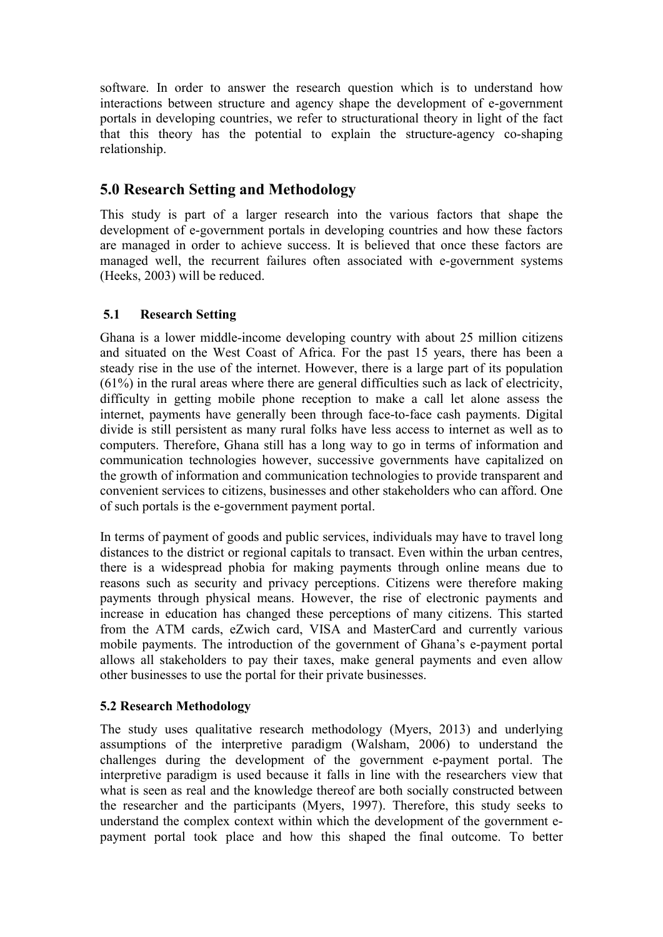software. In order to answer the research question which is to understand how interactions between structure and agency shape the development of e-government portals in developing countries, we refer to structurational theory in light of the fact that this theory has the potential to explain the structure-agency co-shaping relationship.

# 5.0 Research Setting and Methodology

This study is part of a larger research into the various factors that shape the development of e-government portals in developing countries and how these factors are managed in order to achieve success. It is believed that once these factors are managed well, the recurrent failures often associated with e-government systems (Heeks, 2003) will be reduced.

# 5.1 Research Setting

Ghana is a lower middle-income developing country with about 25 million citizens and situated on the West Coast of Africa. For the past 15 years, there has been a steady rise in the use of the internet. However, there is a large part of its population (61%) in the rural areas where there are general difficulties such as lack of electricity, difficulty in getting mobile phone reception to make a call let alone assess the internet, payments have generally been through face-to-face cash payments. Digital divide is still persistent as many rural folks have less access to internet as well as to computers. Therefore, Ghana still has a long way to go in terms of information and communication technologies however, successive governments have capitalized on the growth of information and communication technologies to provide transparent and convenient services to citizens, businesses and other stakeholders who can afford. One of such portals is the e-government payment portal.

In terms of payment of goods and public services, individuals may have to travel long distances to the district or regional capitals to transact. Even within the urban centres, there is a widespread phobia for making payments through online means due to reasons such as security and privacy perceptions. Citizens were therefore making payments through physical means. However, the rise of electronic payments and increase in education has changed these perceptions of many citizens. This started from the ATM cards, eZwich card, VISA and MasterCard and currently various mobile payments. The introduction of the government of Ghana's e-payment portal allows all stakeholders to pay their taxes, make general payments and even allow other businesses to use the portal for their private businesses.

# 5.2 Research Methodology

The study uses qualitative research methodology (Myers, 2013) and underlying assumptions of the interpretive paradigm (Walsham, 2006) to understand the challenges during the development of the government e-payment portal. The interpretive paradigm is used because it falls in line with the researchers view that what is seen as real and the knowledge thereof are both socially constructed between the researcher and the participants (Myers, 1997). Therefore, this study seeks to understand the complex context within which the development of the government epayment portal took place and how this shaped the final outcome. To better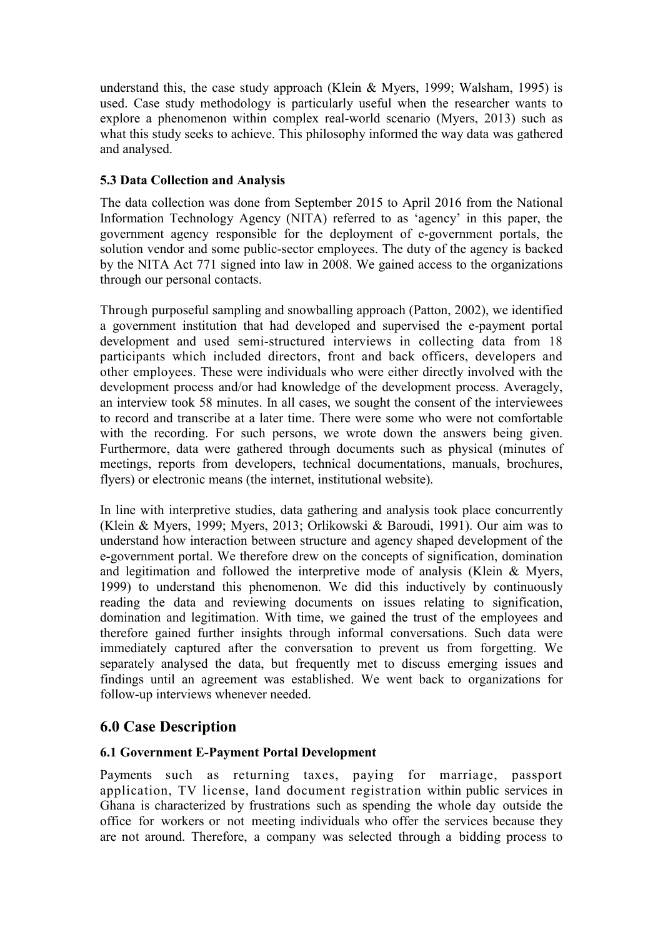understand this, the case study approach (Klein & Myers, 1999; Walsham, 1995) is used. Case study methodology is particularly useful when the researcher wants to explore a phenomenon within complex real-world scenario (Myers, 2013) such as what this study seeks to achieve. This philosophy informed the way data was gathered and analysed.

## 5.3 Data Collection and Analysis

The data collection was done from September 2015 to April 2016 from the National Information Technology Agency (NITA) referred to as 'agency' in this paper, the government agency responsible for the deployment of e-government portals, the solution vendor and some public-sector employees. The duty of the agency is backed by the NITA Act 771 signed into law in 2008. We gained access to the organizations through our personal contacts.

Through purposeful sampling and snowballing approach (Patton, 2002), we identified a government institution that had developed and supervised the e-payment portal development and used semi-structured interviews in collecting data from 18 participants which included directors, front and back officers, developers and other employees. These were individuals who were either directly involved with the development process and/or had knowledge of the development process. Averagely, an interview took 58 minutes. In all cases, we sought the consent of the interviewees to record and transcribe at a later time. There were some who were not comfortable with the recording. For such persons, we wrote down the answers being given. Furthermore, data were gathered through documents such as physical (minutes of meetings, reports from developers, technical documentations, manuals, brochures, flyers) or electronic means (the internet, institutional website).

In line with interpretive studies, data gathering and analysis took place concurrently (Klein & Myers, 1999; Myers, 2013; Orlikowski & Baroudi, 1991). Our aim was to understand how interaction between structure and agency shaped development of the e-government portal. We therefore drew on the concepts of signification, domination and legitimation and followed the interpretive mode of analysis (Klein & Myers, 1999) to understand this phenomenon. We did this inductively by continuously reading the data and reviewing documents on issues relating to signification, domination and legitimation. With time, we gained the trust of the employees and therefore gained further insights through informal conversations. Such data were immediately captured after the conversation to prevent us from forgetting. We separately analysed the data, but frequently met to discuss emerging issues and findings until an agreement was established. We went back to organizations for follow-up interviews whenever needed.

# 6.0 Case Description

### 6.1 Government E-Payment Portal Development

Payments such as returning taxes, paying for marriage, passport application, TV license, land document registration within public services in Ghana is characterized by frustrations such as spending the whole day outside the office for workers or not meeting individuals who offer the services because they are not around. Therefore, a company was selected through a bidding process to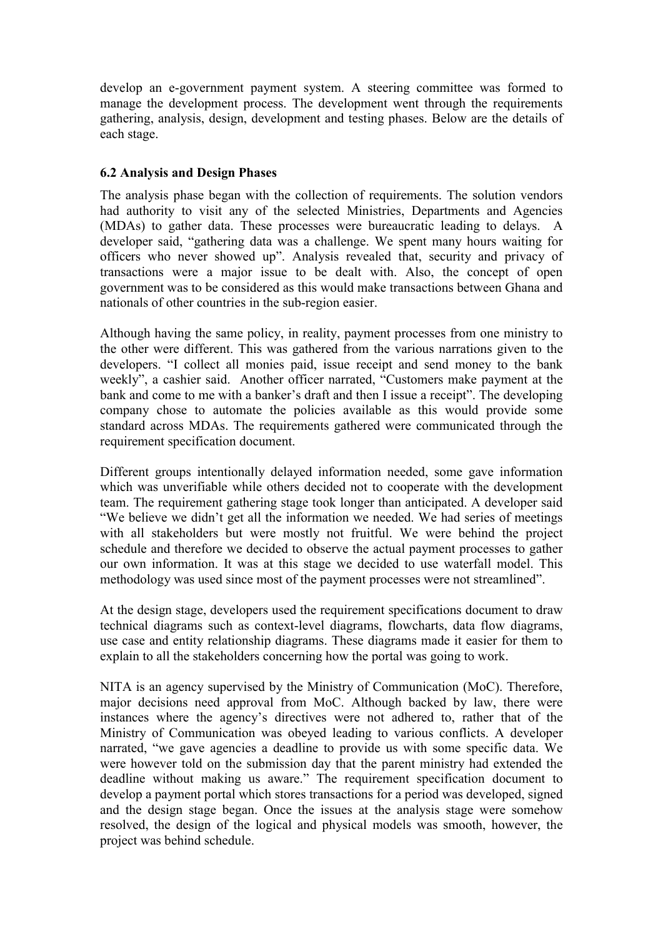develop an e-government payment system. A steering committee was formed to manage the development process. The development went through the requirements gathering, analysis, design, development and testing phases. Below are the details of each stage.

#### 6.2 Analysis and Design Phases

The analysis phase began with the collection of requirements. The solution vendors had authority to visit any of the selected Ministries, Departments and Agencies (MDAs) to gather data. These processes were bureaucratic leading to delays. A developer said, "gathering data was a challenge. We spent many hours waiting for officers who never showed up". Analysis revealed that, security and privacy of transactions were a major issue to be dealt with. Also, the concept of open government was to be considered as this would make transactions between Ghana and nationals of other countries in the sub-region easier.

Although having the same policy, in reality, payment processes from one ministry to the other were different. This was gathered from the various narrations given to the developers. "I collect all monies paid, issue receipt and send money to the bank weekly", a cashier said. Another officer narrated, "Customers make payment at the bank and come to me with a banker's draft and then I issue a receipt". The developing company chose to automate the policies available as this would provide some standard across MDAs. The requirements gathered were communicated through the requirement specification document.

Different groups intentionally delayed information needed, some gave information which was unverifiable while others decided not to cooperate with the development team. The requirement gathering stage took longer than anticipated. A developer said "We believe we didn't get all the information we needed. We had series of meetings with all stakeholders but were mostly not fruitful. We were behind the project schedule and therefore we decided to observe the actual payment processes to gather our own information. It was at this stage we decided to use waterfall model. This methodology was used since most of the payment processes were not streamlined".

At the design stage, developers used the requirement specifications document to draw technical diagrams such as context-level diagrams, flowcharts, data flow diagrams, use case and entity relationship diagrams. These diagrams made it easier for them to explain to all the stakeholders concerning how the portal was going to work.

NITA is an agency supervised by the Ministry of Communication (MoC). Therefore, major decisions need approval from MoC. Although backed by law, there were instances where the agency's directives were not adhered to, rather that of the Ministry of Communication was obeyed leading to various conflicts. A developer narrated, "we gave agencies a deadline to provide us with some specific data. We were however told on the submission day that the parent ministry had extended the deadline without making us aware." The requirement specification document to develop a payment portal which stores transactions for a period was developed, signed and the design stage began. Once the issues at the analysis stage were somehow resolved, the design of the logical and physical models was smooth, however, the project was behind schedule.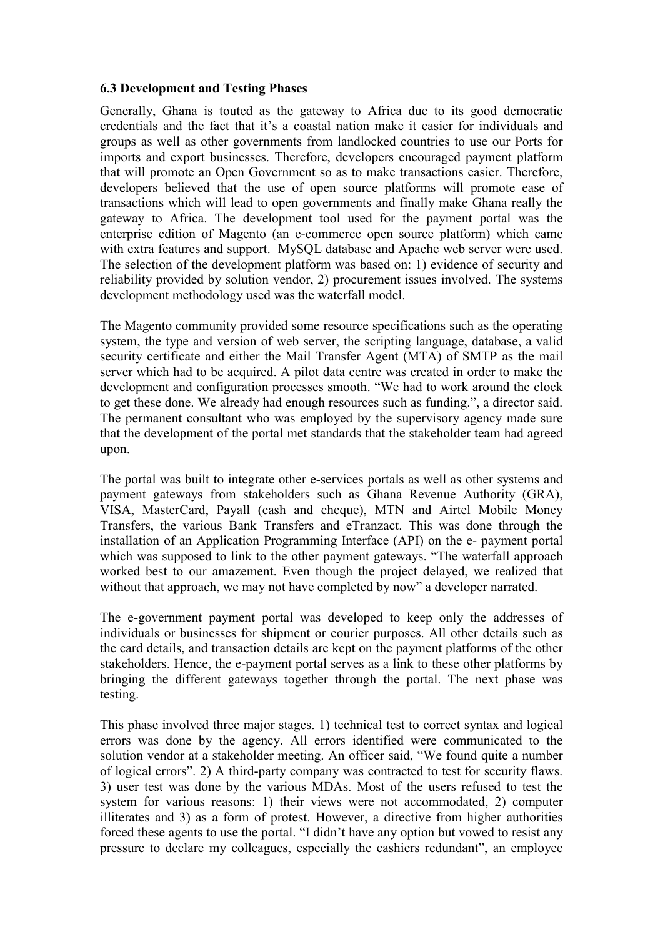#### 6.3 Development and Testing Phases

Generally, Ghana is touted as the gateway to Africa due to its good democratic credentials and the fact that it's a coastal nation make it easier for individuals and groups as well as other governments from landlocked countries to use our Ports for imports and export businesses. Therefore, developers encouraged payment platform that will promote an Open Government so as to make transactions easier. Therefore, developers believed that the use of open source platforms will promote ease of transactions which will lead to open governments and finally make Ghana really the gateway to Africa. The development tool used for the payment portal was the enterprise edition of Magento (an e-commerce open source platform) which came with extra features and support. MySQL database and Apache web server were used. The selection of the development platform was based on: 1) evidence of security and reliability provided by solution vendor, 2) procurement issues involved. The systems development methodology used was the waterfall model.

The Magento community provided some resource specifications such as the operating system, the type and version of web server, the scripting language, database, a valid security certificate and either the Mail Transfer Agent (MTA) of SMTP as the mail server which had to be acquired. A pilot data centre was created in order to make the development and configuration processes smooth. "We had to work around the clock to get these done. We already had enough resources such as funding.", a director said. The permanent consultant who was employed by the supervisory agency made sure that the development of the portal met standards that the stakeholder team had agreed upon.

The portal was built to integrate other e-services portals as well as other systems and payment gateways from stakeholders such as Ghana Revenue Authority (GRA), VISA, MasterCard, Payall (cash and cheque), MTN and Airtel Mobile Money Transfers, the various Bank Transfers and eTranzact. This was done through the installation of an Application Programming Interface (API) on the e- payment portal which was supposed to link to the other payment gateways. "The waterfall approach worked best to our amazement. Even though the project delayed, we realized that without that approach, we may not have completed by now" a developer narrated.

The e-government payment portal was developed to keep only the addresses of individuals or businesses for shipment or courier purposes. All other details such as the card details, and transaction details are kept on the payment platforms of the other stakeholders. Hence, the e-payment portal serves as a link to these other platforms by bringing the different gateways together through the portal. The next phase was testing.

This phase involved three major stages. 1) technical test to correct syntax and logical errors was done by the agency. All errors identified were communicated to the solution vendor at a stakeholder meeting. An officer said, "We found quite a number of logical errors". 2) A third-party company was contracted to test for security flaws. 3) user test was done by the various MDAs. Most of the users refused to test the system for various reasons: 1) their views were not accommodated, 2) computer illiterates and 3) as a form of protest. However, a directive from higher authorities forced these agents to use the portal. "I didn't have any option but vowed to resist any pressure to declare my colleagues, especially the cashiers redundant", an employee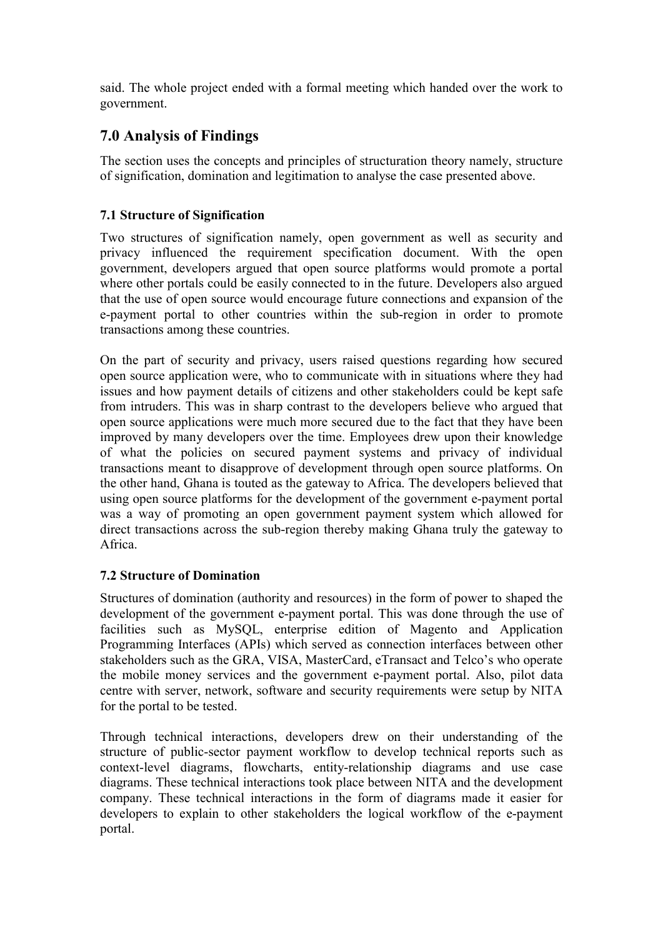said. The whole project ended with a formal meeting which handed over the work to government.

# 7.0 Analysis of Findings

The section uses the concepts and principles of structuration theory namely, structure of signification, domination and legitimation to analyse the case presented above.

# 7.1 Structure of Signification

Two structures of signification namely, open government as well as security and privacy influenced the requirement specification document. With the open government, developers argued that open source platforms would promote a portal where other portals could be easily connected to in the future. Developers also argued that the use of open source would encourage future connections and expansion of the e-payment portal to other countries within the sub-region in order to promote transactions among these countries.

On the part of security and privacy, users raised questions regarding how secured open source application were, who to communicate with in situations where they had issues and how payment details of citizens and other stakeholders could be kept safe from intruders. This was in sharp contrast to the developers believe who argued that open source applications were much more secured due to the fact that they have been improved by many developers over the time. Employees drew upon their knowledge of what the policies on secured payment systems and privacy of individual transactions meant to disapprove of development through open source platforms. On the other hand, Ghana is touted as the gateway to Africa. The developers believed that using open source platforms for the development of the government e-payment portal was a way of promoting an open government payment system which allowed for direct transactions across the sub-region thereby making Ghana truly the gateway to Africa.

# 7.2 Structure of Domination

Structures of domination (authority and resources) in the form of power to shaped the development of the government e-payment portal. This was done through the use of facilities such as MySQL, enterprise edition of Magento and Application Programming Interfaces (APIs) which served as connection interfaces between other stakeholders such as the GRA, VISA, MasterCard, eTransact and Telco's who operate the mobile money services and the government e-payment portal. Also, pilot data centre with server, network, software and security requirements were setup by NITA for the portal to be tested.

Through technical interactions, developers drew on their understanding of the structure of public-sector payment workflow to develop technical reports such as context-level diagrams, flowcharts, entity-relationship diagrams and use case diagrams. These technical interactions took place between NITA and the development company. These technical interactions in the form of diagrams made it easier for developers to explain to other stakeholders the logical workflow of the e-payment portal.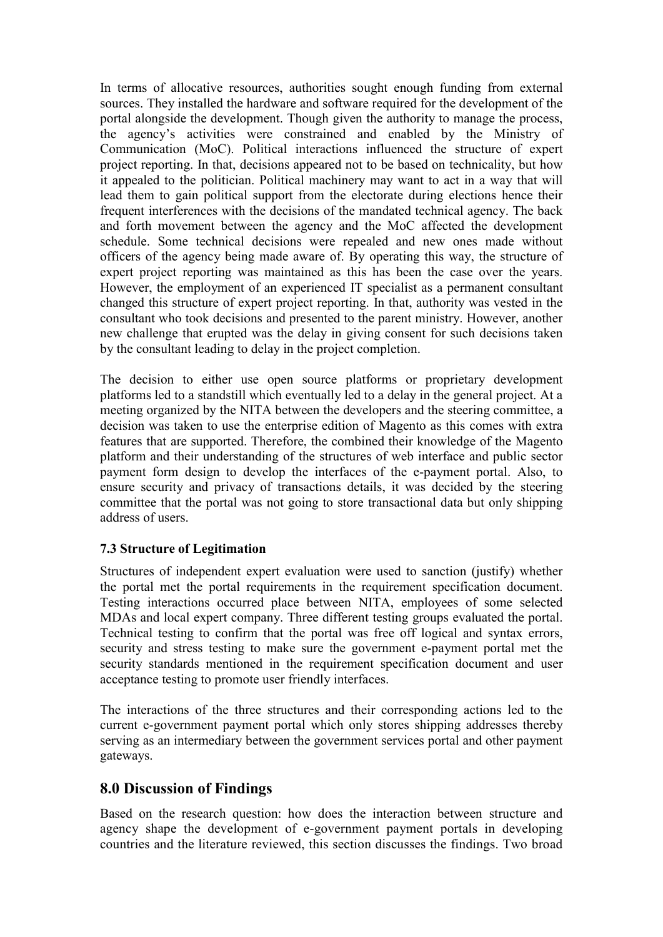In terms of allocative resources, authorities sought enough funding from external sources. They installed the hardware and software required for the development of the portal alongside the development. Though given the authority to manage the process, the agency's activities were constrained and enabled by the Ministry of Communication (MoC). Political interactions influenced the structure of expert project reporting. In that, decisions appeared not to be based on technicality, but how it appealed to the politician. Political machinery may want to act in a way that will lead them to gain political support from the electorate during elections hence their frequent interferences with the decisions of the mandated technical agency. The back and forth movement between the agency and the MoC affected the development schedule. Some technical decisions were repealed and new ones made without officers of the agency being made aware of. By operating this way, the structure of expert project reporting was maintained as this has been the case over the years. However, the employment of an experienced IT specialist as a permanent consultant changed this structure of expert project reporting. In that, authority was vested in the consultant who took decisions and presented to the parent ministry. However, another new challenge that erupted was the delay in giving consent for such decisions taken by the consultant leading to delay in the project completion.

The decision to either use open source platforms or proprietary development platforms led to a standstill which eventually led to a delay in the general project. At a meeting organized by the NITA between the developers and the steering committee, a decision was taken to use the enterprise edition of Magento as this comes with extra features that are supported. Therefore, the combined their knowledge of the Magento platform and their understanding of the structures of web interface and public sector payment form design to develop the interfaces of the e-payment portal. Also, to ensure security and privacy of transactions details, it was decided by the steering committee that the portal was not going to store transactional data but only shipping address of users.

### 7.3 Structure of Legitimation

Structures of independent expert evaluation were used to sanction (justify) whether the portal met the portal requirements in the requirement specification document. Testing interactions occurred place between NITA, employees of some selected MDAs and local expert company. Three different testing groups evaluated the portal. Technical testing to confirm that the portal was free off logical and syntax errors, security and stress testing to make sure the government e-payment portal met the security standards mentioned in the requirement specification document and user acceptance testing to promote user friendly interfaces.

The interactions of the three structures and their corresponding actions led to the current e-government payment portal which only stores shipping addresses thereby serving as an intermediary between the government services portal and other payment gateways.

# 8.0 Discussion of Findings

Based on the research question: how does the interaction between structure and agency shape the development of e-government payment portals in developing countries and the literature reviewed, this section discusses the findings. Two broad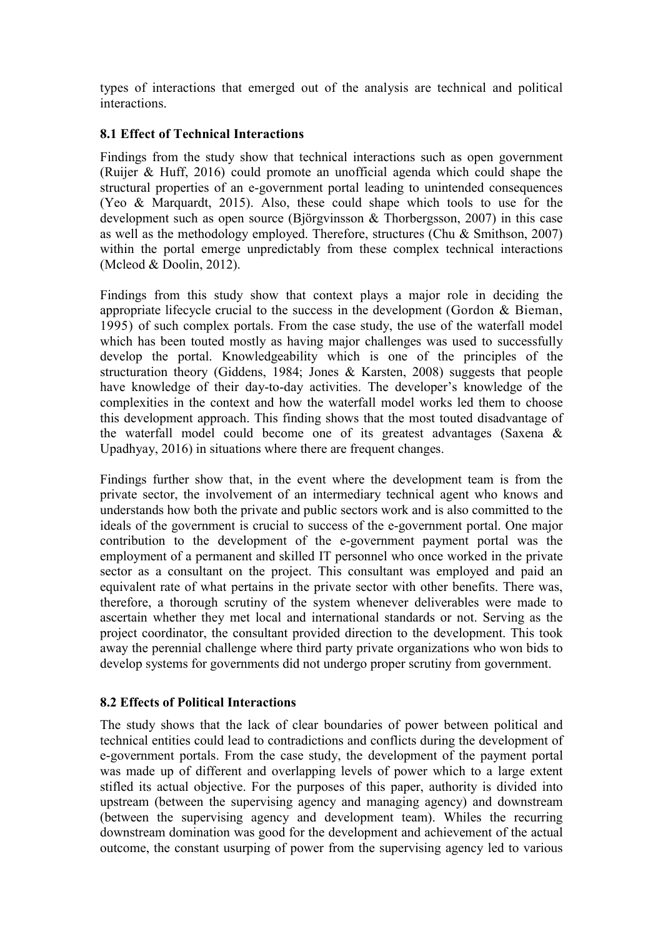types of interactions that emerged out of the analysis are technical and political interactions.

#### 8.1 Effect of Technical Interactions

Findings from the study show that technical interactions such as open government (Ruijer & Huff, 2016) could promote an unofficial agenda which could shape the structural properties of an e-government portal leading to unintended consequences (Yeo & Marquardt, 2015). Also, these could shape which tools to use for the development such as open source (Björgvinsson & Thorbergsson, 2007) in this case as well as the methodology employed. Therefore, structures (Chu & Smithson, 2007) within the portal emerge unpredictably from these complex technical interactions (Mcleod & Doolin, 2012).

Findings from this study show that context plays a major role in deciding the appropriate lifecycle crucial to the success in the development (Gordon & Bieman, 1995) of such complex portals. From the case study, the use of the waterfall model which has been touted mostly as having major challenges was used to successfully develop the portal. Knowledgeability which is one of the principles of the structuration theory (Giddens, 1984; Jones & Karsten, 2008) suggests that people have knowledge of their day-to-day activities. The developer's knowledge of the complexities in the context and how the waterfall model works led them to choose this development approach. This finding shows that the most touted disadvantage of the waterfall model could become one of its greatest advantages (Saxena & Upadhyay, 2016) in situations where there are frequent changes.

Findings further show that, in the event where the development team is from the private sector, the involvement of an intermediary technical agent who knows and understands how both the private and public sectors work and is also committed to the ideals of the government is crucial to success of the e-government portal. One major contribution to the development of the e-government payment portal was the employment of a permanent and skilled IT personnel who once worked in the private sector as a consultant on the project. This consultant was employed and paid an equivalent rate of what pertains in the private sector with other benefits. There was, therefore, a thorough scrutiny of the system whenever deliverables were made to ascertain whether they met local and international standards or not. Serving as the project coordinator, the consultant provided direction to the development. This took away the perennial challenge where third party private organizations who won bids to develop systems for governments did not undergo proper scrutiny from government.

#### 8.2 Effects of Political Interactions

The study shows that the lack of clear boundaries of power between political and technical entities could lead to contradictions and conflicts during the development of e-government portals. From the case study, the development of the payment portal was made up of different and overlapping levels of power which to a large extent stifled its actual objective. For the purposes of this paper, authority is divided into upstream (between the supervising agency and managing agency) and downstream (between the supervising agency and development team). Whiles the recurring downstream domination was good for the development and achievement of the actual outcome, the constant usurping of power from the supervising agency led to various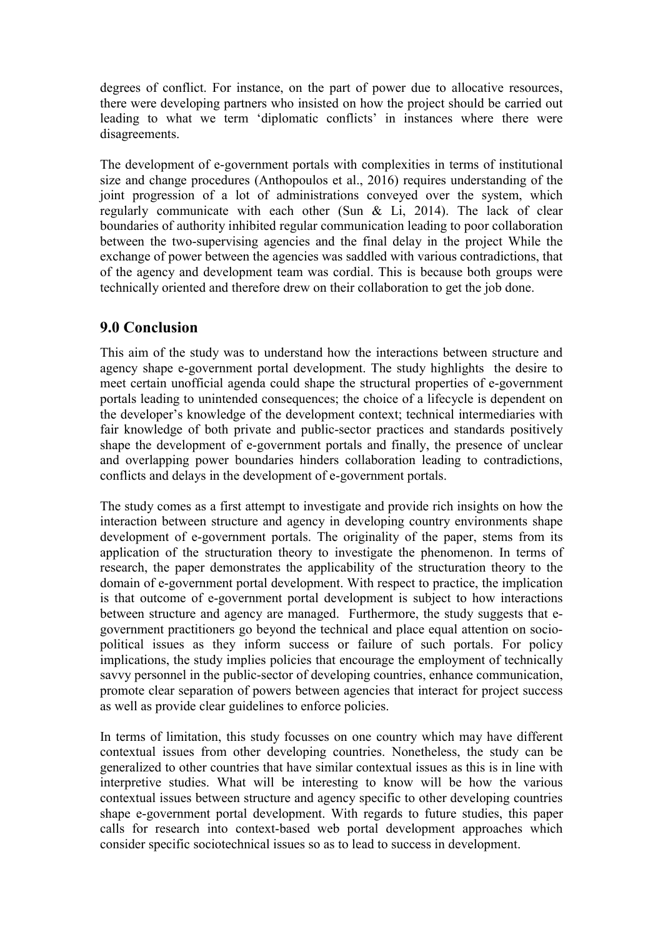degrees of conflict. For instance, on the part of power due to allocative resources, there were developing partners who insisted on how the project should be carried out leading to what we term 'diplomatic conflicts' in instances where there were disagreements.

The development of e-government portals with complexities in terms of institutional size and change procedures (Anthopoulos et al., 2016) requires understanding of the joint progression of a lot of administrations conveyed over the system, which regularly communicate with each other (Sun & Li, 2014). The lack of clear boundaries of authority inhibited regular communication leading to poor collaboration between the two-supervising agencies and the final delay in the project While the exchange of power between the agencies was saddled with various contradictions, that of the agency and development team was cordial. This is because both groups were technically oriented and therefore drew on their collaboration to get the job done.

# 9.0 Conclusion

This aim of the study was to understand how the interactions between structure and agency shape e-government portal development. The study highlights the desire to meet certain unofficial agenda could shape the structural properties of e-government portals leading to unintended consequences; the choice of a lifecycle is dependent on the developer's knowledge of the development context; technical intermediaries with fair knowledge of both private and public-sector practices and standards positively shape the development of e-government portals and finally, the presence of unclear and overlapping power boundaries hinders collaboration leading to contradictions, conflicts and delays in the development of e-government portals.

The study comes as a first attempt to investigate and provide rich insights on how the interaction between structure and agency in developing country environments shape development of e-government portals. The originality of the paper, stems from its application of the structuration theory to investigate the phenomenon. In terms of research, the paper demonstrates the applicability of the structuration theory to the domain of e-government portal development. With respect to practice, the implication is that outcome of e-government portal development is subject to how interactions between structure and agency are managed. Furthermore, the study suggests that egovernment practitioners go beyond the technical and place equal attention on sociopolitical issues as they inform success or failure of such portals. For policy implications, the study implies policies that encourage the employment of technically savvy personnel in the public-sector of developing countries, enhance communication, promote clear separation of powers between agencies that interact for project success as well as provide clear guidelines to enforce policies.

In terms of limitation, this study focusses on one country which may have different contextual issues from other developing countries. Nonetheless, the study can be generalized to other countries that have similar contextual issues as this is in line with interpretive studies. What will be interesting to know will be how the various contextual issues between structure and agency specific to other developing countries shape e-government portal development. With regards to future studies, this paper calls for research into context-based web portal development approaches which consider specific sociotechnical issues so as to lead to success in development.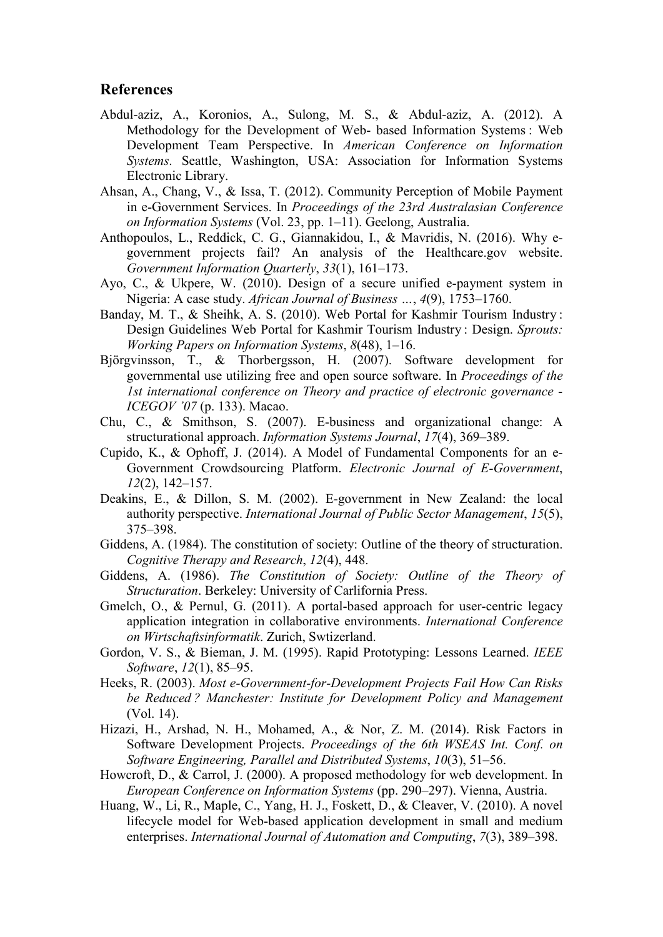#### References

- Abdul-aziz, A., Koronios, A., Sulong, M. S., & Abdul-aziz, A. (2012). A Methodology for the Development of Web- based Information Systems : Web Development Team Perspective. In *American Conference on Information Systems*. Seattle, Washington, USA: Association for Information Systems Electronic Library.
- Ahsan, A., Chang, V., & Issa, T. (2012). Community Perception of Mobile Payment in e-Government Services. In *Proceedings of the 23rd Australasian Conference on Information Systems* (Vol. 23, pp. 1–11). Geelong, Australia.
- Anthopoulos, L., Reddick, C. G., Giannakidou, I., & Mavridis, N. (2016). Why egovernment projects fail? An analysis of the Healthcare.gov website. *Government Information Quarterly*, *33*(1), 161–173.
- Ayo, C., & Ukpere, W. (2010). Design of a secure unified e-payment system in Nigeria: A case study. *African Journal of Business …*, *4*(9), 1753–1760.
- Banday, M. T., & Sheihk, A. S. (2010). Web Portal for Kashmir Tourism Industry : Design Guidelines Web Portal for Kashmir Tourism Industry : Design. *Sprouts: Working Papers on Information Systems*, *8*(48), 1–16.
- Björgvinsson, T., & Thorbergsson, H. (2007). Software development for governmental use utilizing free and open source software. In *Proceedings of the 1st international conference on Theory and practice of electronic governance - ICEGOV '07* (p. 133). Macao.
- Chu, C., & Smithson, S. (2007). E-business and organizational change: A structurational approach. *Information Systems Journal*, *17*(4), 369–389.
- Cupido, K., & Ophoff, J. (2014). A Model of Fundamental Components for an e-Government Crowdsourcing Platform. *Electronic Journal of E-Government*, *12*(2), 142–157.
- Deakins, E., & Dillon, S. M. (2002). E-government in New Zealand: the local authority perspective. *International Journal of Public Sector Management*, *15*(5), 375–398.
- Giddens, A. (1984). The constitution of society: Outline of the theory of structuration. *Cognitive Therapy and Research*, *12*(4), 448.
- Giddens, A. (1986). *The Constitution of Society: Outline of the Theory of Structuration*. Berkeley: University of Carlifornia Press.
- Gmelch, O., & Pernul, G. (2011). A portal-based approach for user-centric legacy application integration in collaborative environments. *International Conference on Wirtschaftsinformatik*. Zurich, Swtizerland.
- Gordon, V. S., & Bieman, J. M. (1995). Rapid Prototyping: Lessons Learned. *IEEE Software*, *12*(1), 85–95.
- Heeks, R. (2003). *Most e-Government-for-Development Projects Fail How Can Risks be Reduced ? Manchester: Institute for Development Policy and Management* (Vol. 14).
- Hizazi, H., Arshad, N. H., Mohamed, A., & Nor, Z. M. (2014). Risk Factors in Software Development Projects. *Proceedings of the 6th WSEAS Int. Conf. on Software Engineering, Parallel and Distributed Systems*, *10*(3), 51–56.
- Howcroft, D., & Carrol, J. (2000). A proposed methodology for web development. In *European Conference on Information Systems* (pp. 290–297). Vienna, Austria.
- Huang, W., Li, R., Maple, C., Yang, H. J., Foskett, D., & Cleaver, V. (2010). A novel lifecycle model for Web-based application development in small and medium enterprises. *International Journal of Automation and Computing*, *7*(3), 389–398.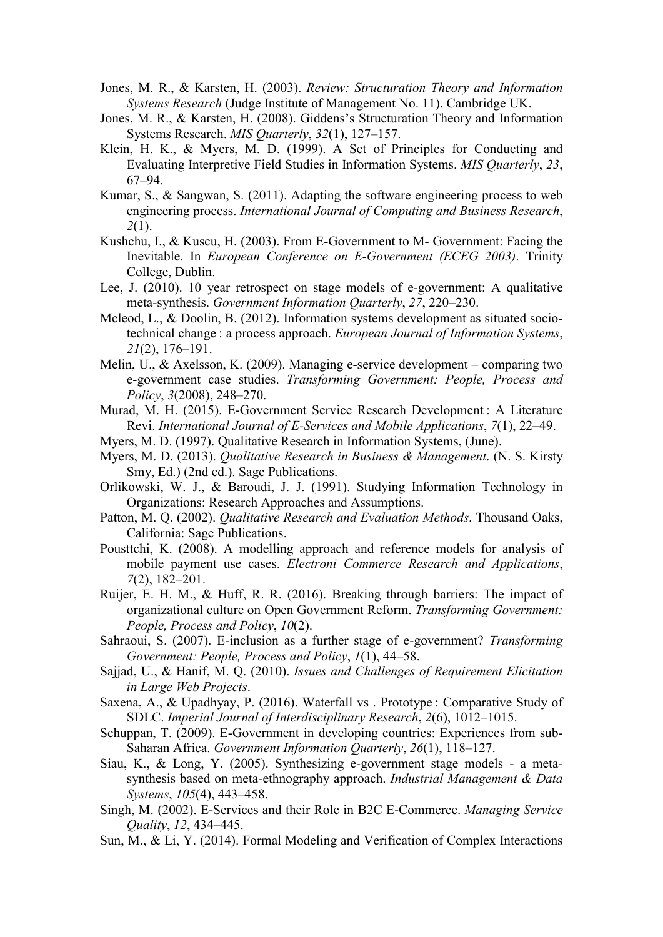- Jones, M. R., & Karsten, H. (2003). *Review: Structuration Theory and Information Systems Research* (Judge Institute of Management No. 11). Cambridge UK.
- Jones, M. R., & Karsten, H. (2008). Giddens's Structuration Theory and Information Systems Research. *MIS Quarterly*, *32*(1), 127–157.
- Klein, H. K., & Myers, M. D. (1999). A Set of Principles for Conducting and Evaluating Interpretive Field Studies in Information Systems. *MIS Quarterly*, *23*, 67–94.
- Kumar, S., & Sangwan, S. (2011). Adapting the software engineering process to web engineering process. *International Journal of Computing and Business Research*, *2*(1).
- Kushchu, I., & Kuscu, H. (2003). From E-Government to M- Government: Facing the Inevitable. In *European Conference on E-Government (ECEG 2003)*. Trinity College, Dublin.
- Lee, J. (2010). 10 year retrospect on stage models of e-government: A qualitative meta-synthesis. *Government Information Quarterly*, *27*, 220–230.
- Mcleod, L., & Doolin, B. (2012). Information systems development as situated sociotechnical change : a process approach. *European Journal of Information Systems*, *21*(2), 176–191.
- Melin, U., & Axelsson, K. (2009). Managing e-service development comparing two e-government case studies. *Transforming Government: People, Process and Policy*, *3*(2008), 248–270.
- Murad, M. H. (2015). E-Government Service Research Development: A Literature Revi. *International Journal of E-Services and Mobile Applications*, *7*(1), 22–49.
- Myers, M. D. (1997). Qualitative Research in Information Systems, (June).
- Myers, M. D. (2013). *Qualitative Research in Business & Management*. (N. S. Kirsty Smy, Ed.) (2nd ed.). Sage Publications.
- Orlikowski, W. J., & Baroudi, J. J. (1991). Studying Information Technology in Organizations: Research Approaches and Assumptions.
- Patton, M. Q. (2002). *Qualitative Research and Evaluation Methods*. Thousand Oaks, California: Sage Publications.
- Pousttchi, K. (2008). A modelling approach and reference models for analysis of mobile payment use cases. *Electroni Commerce Research and Applications*, *7*(2), 182–201.
- Ruijer, E. H. M., & Huff, R. R. (2016). Breaking through barriers: The impact of organizational culture on Open Government Reform. *Transforming Government: People, Process and Policy*, *10*(2).
- Sahraoui, S. (2007). E-inclusion as a further stage of e-government? *Transforming Government: People, Process and Policy*, *1*(1), 44–58.
- Sajjad, U., & Hanif, M. Q. (2010). *Issues and Challenges of Requirement Elicitation in Large Web Projects*.
- Saxena, A., & Upadhyay, P. (2016). Waterfall vs. Prototype: Comparative Study of SDLC. *Imperial Journal of Interdisciplinary Research*, *2*(6), 1012–1015.
- Schuppan, T. (2009). E-Government in developing countries: Experiences from sub-Saharan Africa. *Government Information Quarterly*, *26*(1), 118–127.
- Siau, K., & Long, Y. (2005). Synthesizing e-government stage models a metasynthesis based on meta-ethnography approach. *Industrial Management & Data Systems*, *105*(4), 443–458.
- Singh, M. (2002). E-Services and their Role in B2C E-Commerce. *Managing Service Quality*, *12*, 434–445.
- Sun, M., & Li, Y. (2014). Formal Modeling and Verification of Complex Interactions